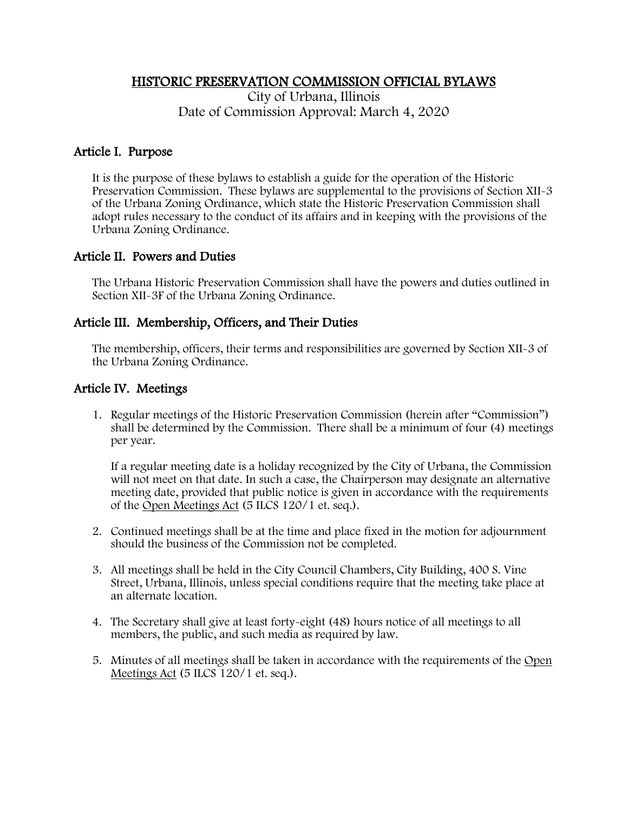### HISTORIC PRESERVATION COMMISSION OFFICIAL BYLAWS

City of Urbana, Illinois Date of Commission Approval: March 4, 2020

# Article I. Purpose

It is the purpose of these bylaws to establish a guide for the operation of the Historic Preservation Commission. These bylaws are supplemental to the provisions of Section XII-3 of the Urbana Zoning Ordinance, which state the Historic Preservation Commission shall adopt rules necessary to the conduct of its affairs and in keeping with the provisions of the Urbana Zoning Ordinance.

# Article II. Powers and Duties

The Urbana Historic Preservation Commission shall have the powers and duties outlined in Section XII-3F of the Urbana Zoning Ordinance.

# Article III. Membership, Officers, and Their Duties

The membership, officers, their terms and responsibilities are governed by Section XII-3 of the Urbana Zoning Ordinance.

# Article IV. Meetings

1. Regular meetings of the Historic Preservation Commission (herein after "Commission") shall be determined by the Commission. There shall be a minimum of four (4) meetings per year.

If a regular meeting date is a holiday recognized by the City of Urbana, the Commission will not meet on that date. In such a case, the Chairperson may designate an alternative meeting date, provided that public notice is given in accordance with the requirements of the Open Meetings Act (5 ILCS 120/1 et. seq.).

- 2. Continued meetings shall be at the time and place fixed in the motion for adjournment should the business of the Commission not be completed.
- 3. All meetings shall be held in the City Council Chambers, City Building, 400 S. Vine Street, Urbana, Illinois, unless special conditions require that the meeting take place at an alternate location.
- 4. The Secretary shall give at least forty-eight (48) hours notice of all meetings to all members, the public, and such media as required by law.
- 5. Minutes of all meetings shall be taken in accordance with the requirements of the Open Meetings Act (5 ILCS 120/1 et. seq.).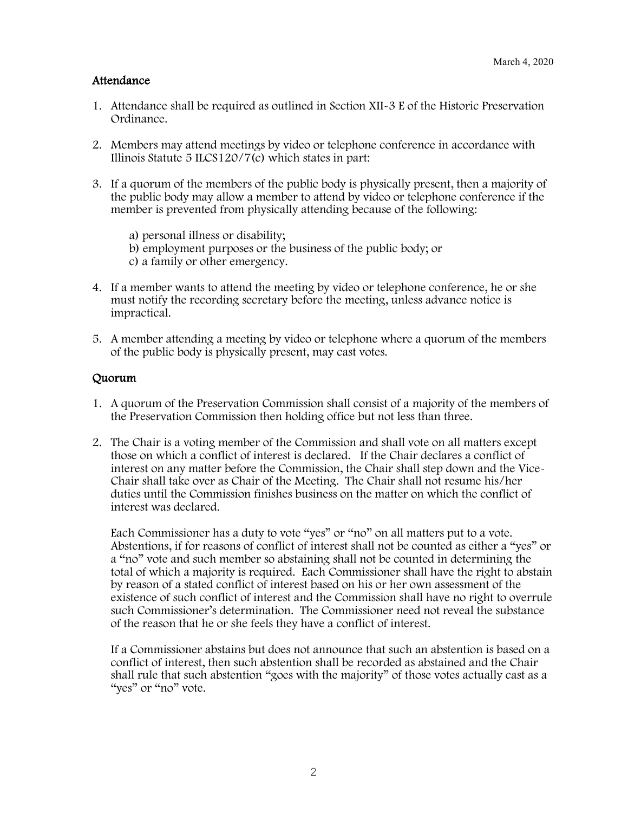### Attendance

- 1. Attendance shall be required as outlined in Section XII-3 E of the Historic Preservation Ordinance.
- 2. Members may attend meetings by video or telephone conference in accordance with Illinois Statute 5 ILCS120/7(c) which states in part:
- 3. If a quorum of the members of the public body is physically present, then a majority of the public body may allow a member to attend by video or telephone conference if the member is prevented from physically attending because of the following:

a) personal illness or disability; b) employment purposes or the business of the public body; or

- c) a family or other emergency.
- 4. If a member wants to attend the meeting by video or telephone conference, he or she must notify the recording secretary before the meeting, unless advance notice is impractical.
- 5. A member attending a meeting by video or telephone where a quorum of the members of the public body is physically present, may cast votes.

### Quorum

- 1. A quorum of the Preservation Commission shall consist of a majority of the members of the Preservation Commission then holding office but not less than three.
- 2. The Chair is a voting member of the Commission and shall vote on all matters except those on which a conflict of interest is declared. If the Chair declares a conflict of interest on any matter before the Commission, the Chair shall step down and the Vice-Chair shall take over as Chair of the Meeting. The Chair shall not resume his/her duties until the Commission finishes business on the matter on which the conflict of interest was declared.

Each Commissioner has a duty to vote "yes" or "no" on all matters put to a vote. Abstentions, if for reasons of conflict of interest shall not be counted as either a "yes" or a "no" vote and such member so abstaining shall not be counted in determining the total of which a majority is required. Each Commissioner shall have the right to abstain by reason of a stated conflict of interest based on his or her own assessment of the existence of such conflict of interest and the Commission shall have no right to overrule such Commissioner's determination. The Commissioner need not reveal the substance of the reason that he or she feels they have a conflict of interest.

If a Commissioner abstains but does not announce that such an abstention is based on a conflict of interest, then such abstention shall be recorded as abstained and the Chair shall rule that such abstention "goes with the majority" of those votes actually cast as a "yes" or "no" vote.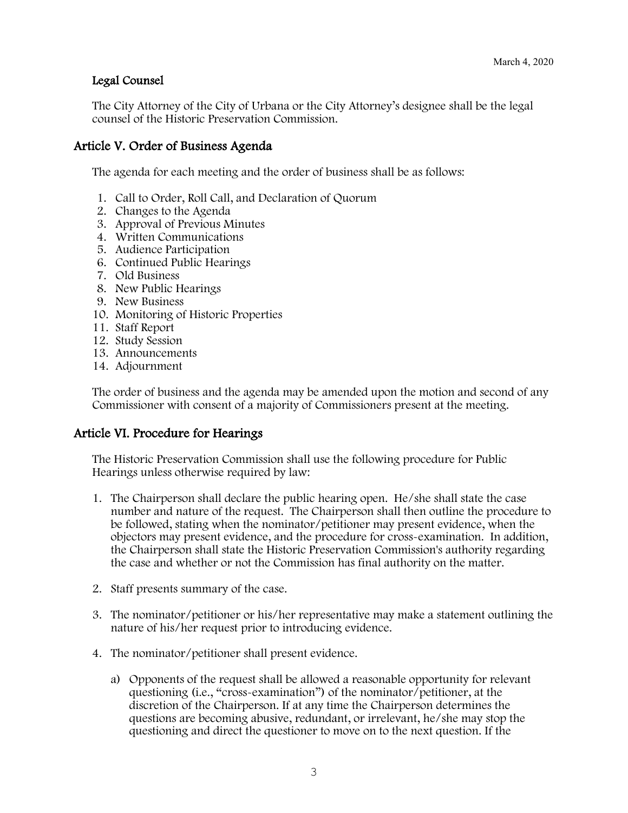# Legal Counsel

The City Attorney of the City of Urbana or the City Attorney's designee shall be the legal counsel of the Historic Preservation Commission.

### Article V. Order of Business Agenda

The agenda for each meeting and the order of business shall be as follows:

- 1. Call to Order, Roll Call, and Declaration of Quorum
- 2. Changes to the Agenda
- 3. Approval of Previous Minutes
- 4. Written Communications
- 5. Audience Participation
- 6. Continued Public Hearings
- 7. Old Business
- 8. New Public Hearings
- 9. New Business
- 10. Monitoring of Historic Properties
- 11. Staff Report
- 12. Study Session
- 13. Announcements
- 14. Adjournment

The order of business and the agenda may be amended upon the motion and second of any Commissioner with consent of a majority of Commissioners present at the meeting.

#### Article VI. Procedure for Hearings

The Historic Preservation Commission shall use the following procedure for Public Hearings unless otherwise required by law:

- 1. The Chairperson shall declare the public hearing open. He/she shall state the case number and nature of the request. The Chairperson shall then outline the procedure to be followed, stating when the nominator/petitioner may present evidence, when the objectors may present evidence, and the procedure for cross-examination. In addition, the Chairperson shall state the Historic Preservation Commission's authority regarding the case and whether or not the Commission has final authority on the matter.
- 2. Staff presents summary of the case.
- 3. The nominator/petitioner or his/her representative may make a statement outlining the nature of his/her request prior to introducing evidence.
- 4. The nominator/petitioner shall present evidence.
	- a) Opponents of the request shall be allowed a reasonable opportunity for relevant questioning (i.e., "cross-examination") of the nominator/petitioner, at the discretion of the Chairperson. If at any time the Chairperson determines the questions are becoming abusive, redundant, or irrelevant, he/she may stop the questioning and direct the questioner to move on to the next question. If the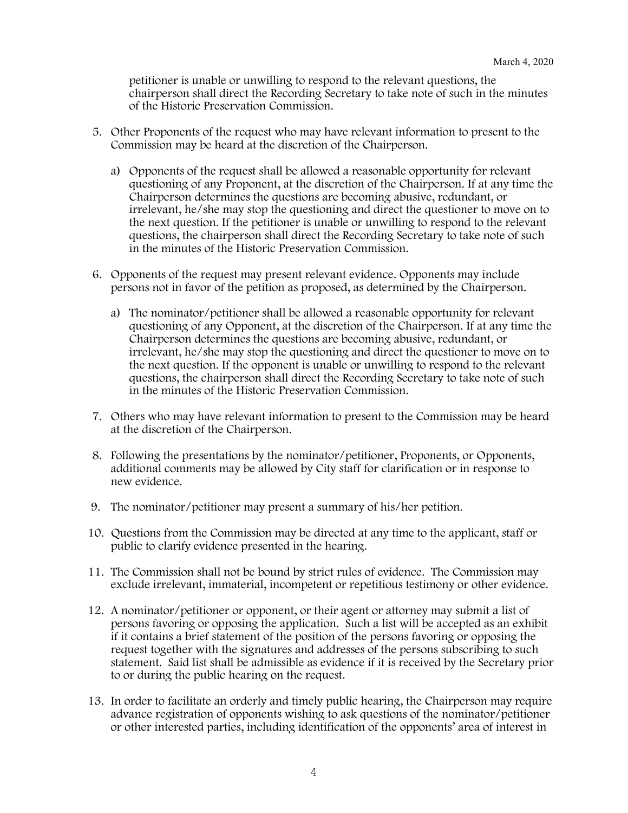petitioner is unable or unwilling to respond to the relevant questions, the chairperson shall direct the Recording Secretary to take note of such in the minutes of the Historic Preservation Commission.

- 5. Other Proponents of the request who may have relevant information to present to the Commission may be heard at the discretion of the Chairperson.
	- a) Opponents of the request shall be allowed a reasonable opportunity for relevant questioning of any Proponent, at the discretion of the Chairperson. If at any time the Chairperson determines the questions are becoming abusive, redundant, or irrelevant, he/she may stop the questioning and direct the questioner to move on to the next question. If the petitioner is unable or unwilling to respond to the relevant questions, the chairperson shall direct the Recording Secretary to take note of such in the minutes of the Historic Preservation Commission.
- 6. Opponents of the request may present relevant evidence. Opponents may include persons not in favor of the petition as proposed, as determined by the Chairperson.
	- a) The nominator/petitioner shall be allowed a reasonable opportunity for relevant questioning of any Opponent, at the discretion of the Chairperson. If at any time the Chairperson determines the questions are becoming abusive, redundant, or irrelevant, he/she may stop the questioning and direct the questioner to move on to the next question. If the opponent is unable or unwilling to respond to the relevant questions, the chairperson shall direct the Recording Secretary to take note of such in the minutes of the Historic Preservation Commission.
- 7. Others who may have relevant information to present to the Commission may be heard at the discretion of the Chairperson.
- 8. Following the presentations by the nominator/petitioner, Proponents, or Opponents, additional comments may be allowed by City staff for clarification or in response to new evidence.
- 9. The nominator/petitioner may present a summary of his/her petition.
- 10. Questions from the Commission may be directed at any time to the applicant, staff or public to clarify evidence presented in the hearing.
- 11. The Commission shall not be bound by strict rules of evidence. The Commission may exclude irrelevant, immaterial, incompetent or repetitious testimony or other evidence.
- 12. A nominator/petitioner or opponent, or their agent or attorney may submit a list of persons favoring or opposing the application. Such a list will be accepted as an exhibit if it contains a brief statement of the position of the persons favoring or opposing the request together with the signatures and addresses of the persons subscribing to such statement. Said list shall be admissible as evidence if it is received by the Secretary prior to or during the public hearing on the request.
- 13. In order to facilitate an orderly and timely public hearing, the Chairperson may require advance registration of opponents wishing to ask questions of the nominator/petitioner or other interested parties, including identification of the opponents' area of interest in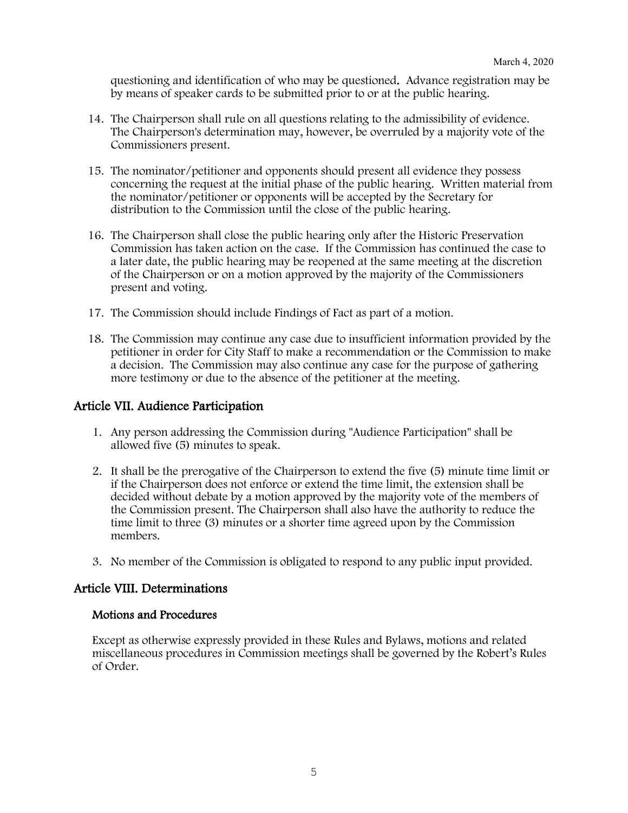questioning and identification of who may be questioned. Advance registration may be by means of speaker cards to be submitted prior to or at the public hearing.

- 14. The Chairperson shall rule on all questions relating to the admissibility of evidence. The Chairperson's determination may, however, be overruled by a majority vote of the Commissioners present.
- 15. The nominator/petitioner and opponents should present all evidence they possess concerning the request at the initial phase of the public hearing. Written material from the nominator/petitioner or opponents will be accepted by the Secretary for distribution to the Commission until the close of the public hearing.
- 16. The Chairperson shall close the public hearing only after the Historic Preservation Commission has taken action on the case. If the Commission has continued the case to a later date, the public hearing may be reopened at the same meeting at the discretion of the Chairperson or on a motion approved by the majority of the Commissioners present and voting.
- 17. The Commission should include Findings of Fact as part of a motion.
- 18. The Commission may continue any case due to insufficient information provided by the petitioner in order for City Staff to make a recommendation or the Commission to make a decision. The Commission may also continue any case for the purpose of gathering more testimony or due to the absence of the petitioner at the meeting.

### Article VII. Audience Participation

- 1. Any person addressing the Commission during "Audience Participation" shall be allowed five (5) minutes to speak.
- 2. It shall be the prerogative of the Chairperson to extend the five (5) minute time limit or if the Chairperson does not enforce or extend the time limit, the extension shall be decided without debate by a motion approved by the majority vote of the members of the Commission present. The Chairperson shall also have the authority to reduce the time limit to three (3) minutes or a shorter time agreed upon by the Commission members.
- 3. No member of the Commission is obligated to respond to any public input provided.

#### Article VIII. Determinations

#### Motions and Procedures

Except as otherwise expressly provided in these Rules and Bylaws, motions and related miscellaneous procedures in Commission meetings shall be governed by the Robert's Rules of Order.